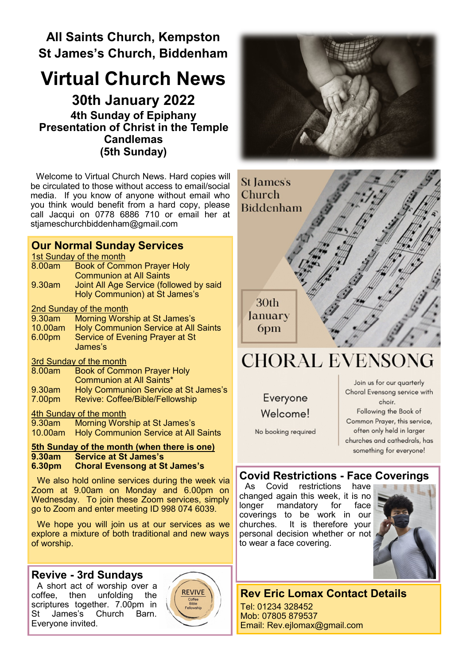# **All Saints Church, Kempston St James's Church, Biddenham**

# **Virtual Church News**

**30th January 2022 4th Sunday of Epiphany Presentation of Christ in the Temple Candlemas (5th Sunday)**

Welcome to Virtual Church News. Hard copies will be circulated to those without access to email/social media. If you know of anyone without email who you think would benefit from a hard copy, please call Jacqui on 0778 6886 710 or email her at [stjameschurchbiddenham@gmail.com](mailto:Jacqui.piper@btinternet.com) 

## **Our Normal Sunday Services**

**1st Sunday of the month** 

| 1st Sunday of the month |                                             |
|-------------------------|---------------------------------------------|
| 8.00am                  | <b>Book of Common Prayer Holy</b>           |
|                         | <b>Communion at All Saints</b>              |
| 9.30am                  | Joint All Age Service (followed by said     |
|                         | Holy Communion) at St James's               |
| 2nd Sunday of the month |                                             |
| 9.30am                  | Morning Worship at St James's               |
| 10.00am                 | <b>Holy Communion Service at All Saints</b> |
| 6.00pm                  | Service of Evening Prayer at St             |
|                         | James's                                     |
| 3rd Sunday of the month |                                             |
| 8.00am                  | <b>Book of Common Prayer Holy</b>           |
|                         | Communion at All Saints*                    |
| 9.30am                  | <b>Holy Communion Service at St James's</b> |
| 7.00pm                  | <b>Revive: Coffee/Bible/Fellowship</b>      |
| 4th Sunday of the month |                                             |

9.30am Morning Worship at St James's 10.00am Holy Communion Service at All Saints

# **5th Sunday of the month (when there is one) 9.30am Service at St James's**

#### **6.30pm Choral Evensong at St James's**

We also hold online services during the week via Zoom at 9.00am on Monday and 6.00pm on Wednesday. To join these Zoom services, simply go to Zoom and enter meeting ID 998 074 6039.

We hope you will join us at our services as we explore a mixture of both traditional and new ways of worship.

#### **Revive - 3rd Sundays**

A short act of worship over a coffee, then unfolding the scriptures together. 7.00pm in St James's Church Barn. Everyone invited.







# **CHORAL EVENSONG**

Everyone Welcome!

No booking required

Join us for our quarterly Choral Evensong service with choir. Following the Book of Common Prayer, this service, often only held in larger churches and cathedrals, has something for everyone!

## **Covid Restrictions - Face Coverings**

As Covid restrictions have changed again this week, it is no longer mandatory for face coverings to be work in our churches. It is therefore your personal decision whether or not to wear a face covering.



# **Rev Eric Lomax Contact Details**

Tel: 01234 328452 Mob: 07805 879537 Email: Rev.ejlomax@gmail.com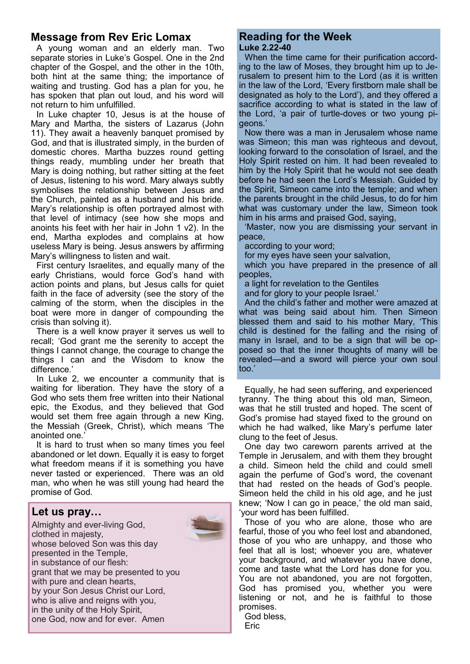### **Message from Rev Eric Lomax**

A young woman and an elderly man. Two separate stories in Luke's Gospel. One in the 2nd chapter of the Gospel, and the other in the 10th, both hint at the same thing; the importance of waiting and trusting. God has a plan for you, he has spoken that plan out loud, and his word will not return to him unfulfilled.

In Luke chapter 10, Jesus is at the house of Mary and Martha, the sisters of Lazarus (John 11). They await a heavenly banquet promised by God, and that is illustrated simply, in the burden of domestic chores. Martha buzzes round getting things ready, mumbling under her breath that Mary is doing nothing, but rather sitting at the feet of Jesus, listening to his word. Mary always subtly symbolises the relationship between Jesus and the Church, painted as a husband and his bride. Mary's relationship is often portrayed almost with that level of intimacy (see how she mops and anoints his feet with her hair in John 1 v2). In the end, Martha explodes and complains at how useless Mary is being. Jesus answers by affirming Mary's willingness to listen and wait.

First century Israelites, and equally many of the early Christians, would force God's hand with action points and plans, but Jesus calls for quiet faith in the face of adversity (see the story of the calming of the storm, when the disciples in the boat were more in danger of compounding the crisis than solving it).

There is a well know prayer it serves us well to recall; 'God grant me the serenity to accept the things I cannot change, the courage to change the things I can and the Wisdom to know the difference.'

In Luke 2, we encounter a community that is waiting for liberation. They have the story of a God who sets them free written into their National epic, the Exodus, and they believed that God would set them free again through a new King, the Messiah (Greek, Christ), which means 'The anointed one.'

It is hard to trust when so many times you feel abandoned or let down. Equally it is easy to forget what freedom means if it is something you have never tasted or experienced. There was an old man, who when he was still young had heard the promise of God.

#### **Let us pray…**



#### **Reading for the Week Luke 2.22-40**

When the time came for their purification according to the law of Moses, they brought him up to Jerusalem to present him to the Lord (as it is written in the law of the Lord, 'Every firstborn male shall be designated as holy to the Lord'), and they offered a sacrifice according to what is stated in the law of the Lord, 'a pair of turtle-doves or two young pigeons.'

Now there was a man in Jerusalem whose name was Simeon; this man was righteous and devout, looking forward to the consolation of Israel, and the Holy Spirit rested on him. It had been revealed to him by the Holy Spirit that he would not see death before he had seen the Lord's Messiah. Guided by the Spirit, Simeon came into the temple; and when the parents brought in the child Jesus, to do for him what was customary under the law, Simeon took him in his arms and praised God, saying,

'Master, now you are dismissing your servant in peace,

according to your word;

for my eyes have seen your salvation,

which you have prepared in the presence of all peoples,

a light for revelation to the Gentiles

and for glory to your people Israel.'

And the child's father and mother were amazed at what was being said about him. Then Simeon blessed them and said to his mother Mary, 'This child is destined for the falling and the rising of many in Israel, and to be a sign that will be opposed so that the inner thoughts of many will be revealed—and a sword will pierce your own soul too.'

Equally, he had seen suffering, and experienced tyranny. The thing about this old man, Simeon, was that he still trusted and hoped. The scent of God's promise had stayed fixed to the ground on which he had walked, like Mary's perfume later clung to the feet of Jesus.

One day two careworn parents arrived at the Temple in Jerusalem, and with them they brought a child. Simeon held the child and could smell again the perfume of God's word, the covenant that had rested on the heads of God's people. Simeon held the child in his old age, and he just knew; 'Now I can go in peace,' the old man said, 'your word has been fulfilled.

Those of you who are alone, those who are fearful, those of you who feel lost and abandoned, those of you who are unhappy, and those who feel that all is lost; whoever you are, whatever your background, and whatever you have done, come and taste what the Lord has done for you. You are not abandoned, you are not forgotten, God has promised you, whether you were listening or not, and he is faithful to those promises.

God bless, Eric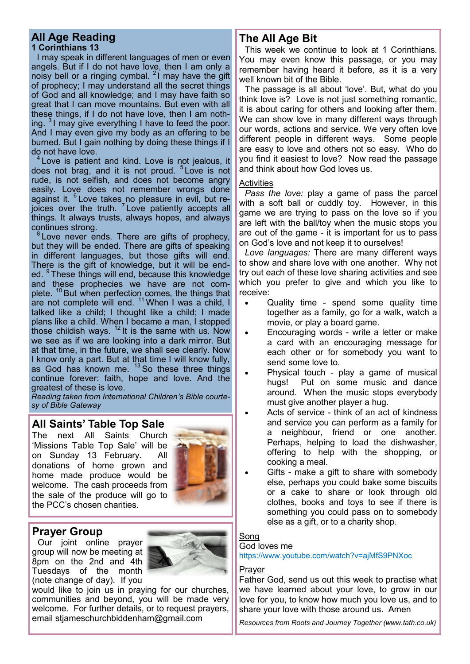#### **All Age Reading 1 Corinthians 13**

I may speak in different languages of men or even angels. But if I do not have love, then I am only a noisy bell or a ringing cymbal.  $21$  may have the gift of prophecy; I may understand all the secret things of God and all knowledge; and I may have faith so great that I can move mountains. But even with all these things, if I do not have love, then I am nothing. <sup>3</sup> I may give everything I have to feed the poor. And I may even give my body as an offering to be burned. But I gain nothing by doing these things if I do not have love.

<sup>4</sup> Love is patient and kind. Love is not jealous, it does not brag, and it is not proud. <sup>5</sup> Love is not rude, is not selfish, and does not become angry easily. Love does not remember wrongs done against it. <sup>6</sup> Love takes no pleasure in evil, but rejoices over the truth. <sup>7</sup> Love patiently accepts all things. It always trusts, always hopes, and always continues strong.

 $8$  Love never ends. There are gifts of prophecy, but they will be ended. There are gifts of speaking in different languages, but those gifts will end. There is the gift of knowledge, but it will be ended. <sup>9</sup> These things will end, because this knowledge and these prophecies we have are not complete.  $10$  But when perfection comes, the things that are not complete will end.  $11$  When I was a child, I talked like a child; I thought like a child; I made plans like a child. When I became a man, I stopped those childish ways.  $12$  It is the same with us. Now we see as if we are looking into a dark mirror. But at that time, in the future, we shall see clearly. Now I know only a part. But at that time I will know fully, as God has known me.  $13$  So these three things continue forever: faith, hope and love. And the greatest of these is love.

*Reading taken from International Children's Bible courtesy of Bible Gateway*

### **All Saints' Table Top Sale**

The next All Saints Church 'Missions Table Top Sale' will be on Sunday 13 February. All donations of home grown and home made produce would be welcome. The cash proceeds from the sale of the produce will go to the PCC's chosen charities.



#### **Prayer Group**

Our joint online prayer group will now be meeting at 8pm on the 2nd and 4th Tuesdays of the month (note change of day). If you



would like to join us in praying for our churches, communities and beyond, you will be made very welcome. For further details, or to request prayers, email stjameschurchbiddenham@gmail.com

## **The All Age Bit**

This week we continue to look at 1 Corinthians. You may even know this passage, or you may remember having heard it before, as it is a very well known bit of the Bible.

The passage is all about 'love'. But, what do you think love is? Love is not just something romantic, it is about caring for others and looking after them. We can show love in many different ways through our words, actions and service. We very often love different people in different ways. Some people are easy to love and others not so easy. Who do you find it easiest to love? Now read the passage and think about how God loves us.

#### **Activities**

*Pass the love:* play a game of pass the parcel with a soft ball or cuddly toy. However, in this game we are trying to pass on the love so if you are left with the ball/toy when the music stops you are out of the game - it is important for us to pass on God's love and not keep it to ourselves!

*Love languages:* There are many different ways to show and share love with one another. Why not try out each of these love sharing activities and see which you prefer to give and which you like to receive:

- Quality time spend some quality time together as a family, go for a walk, watch a movie, or play a board game.
- Encouraging words write a letter or make a card with an encouraging message for each other or for somebody you want to send some love to.
- Physical touch play a game of musical hugs! Put on some music and dance around. When the music stops everybody must give another player a hug.
- Acts of service think of an act of kindness and service you can perform as a family for a neighbour, friend or one another. Perhaps, helping to load the dishwasher, offering to help with the shopping, or cooking a meal.
- Gifts make a gift to share with somebody else, perhaps you could bake some biscuits or a cake to share or look through old clothes, books and toys to see if there is something you could pass on to somebody else as a gift, or to a charity shop.

#### Song

#### God loves me

https://www.youtube.com/watch?v=ajMfS9PNXoc

#### Prayer

Father God, send us out this week to practise what we have learned about your love, to grow in our love for you, to know how much you love us, and to share your love with those around us. Amen

*Resources from Roots and Journey Together (www.tath.co.uk)*